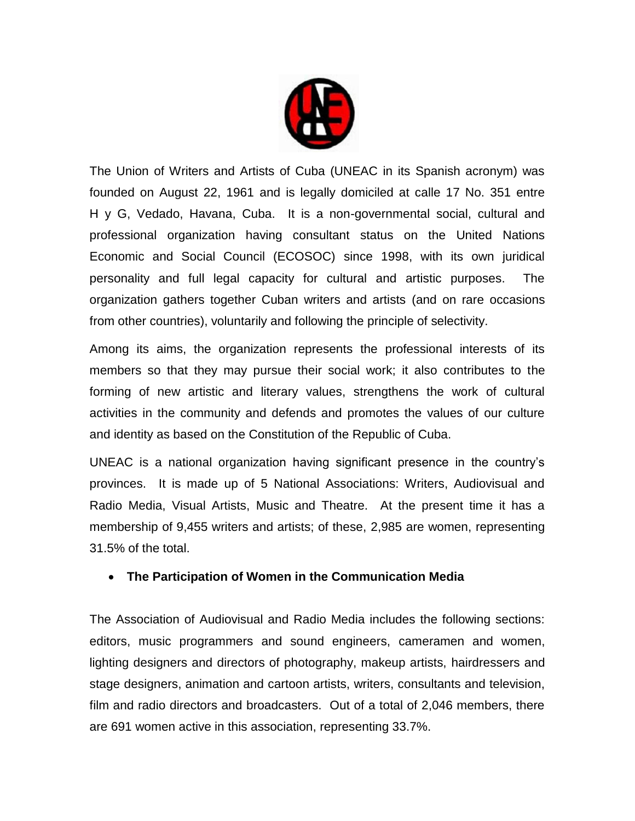

The Union of Writers and Artists of Cuba (UNEAC in its Spanish acronym) was founded on August 22, 1961 and is legally domiciled at calle 17 No. 351 entre H y G, Vedado, Havana, Cuba. It is a non-governmental social, cultural and professional organization having consultant status on the United Nations Economic and Social Council (ECOSOC) since 1998, with its own juridical personality and full legal capacity for cultural and artistic purposes. The organization gathers together Cuban writers and artists (and on rare occasions from other countries), voluntarily and following the principle of selectivity.

Among its aims, the organization represents the professional interests of its members so that they may pursue their social work; it also contributes to the forming of new artistic and literary values, strengthens the work of cultural activities in the community and defends and promotes the values of our culture and identity as based on the Constitution of the Republic of Cuba.

UNEAC is a national organization having significant presence in the country's provinces. It is made up of 5 National Associations: Writers, Audiovisual and Radio Media, Visual Artists, Music and Theatre. At the present time it has a membership of 9,455 writers and artists; of these, 2,985 are women, representing 31.5% of the total.

## **The Participation of Women in the Communication Media**

The Association of Audiovisual and Radio Media includes the following sections: editors, music programmers and sound engineers, cameramen and women, lighting designers and directors of photography, makeup artists, hairdressers and stage designers, animation and cartoon artists, writers, consultants and television, film and radio directors and broadcasters. Out of a total of 2,046 members, there are 691 women active in this association, representing 33.7%.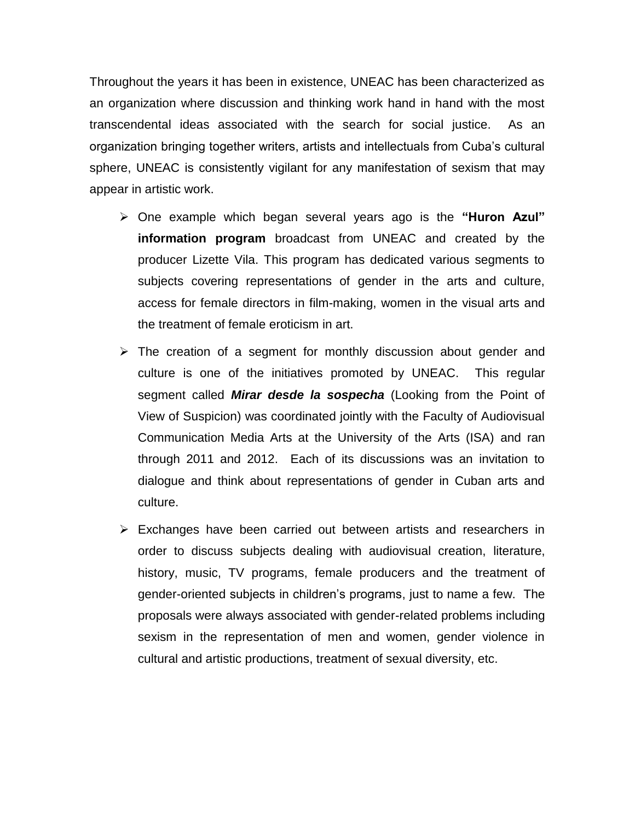Throughout the years it has been in existence, UNEAC has been characterized as an organization where discussion and thinking work hand in hand with the most transcendental ideas associated with the search for social justice. As an organization bringing together writers, artists and intellectuals from Cuba's cultural sphere, UNEAC is consistently vigilant for any manifestation of sexism that may appear in artistic work.

- One example which began several years ago is the **"Huron Azul" information program** broadcast from UNEAC and created by the producer Lizette Vila. This program has dedicated various segments to subjects covering representations of gender in the arts and culture, access for female directors in film-making, women in the visual arts and the treatment of female eroticism in art.
- $\triangleright$  The creation of a segment for monthly discussion about gender and culture is one of the initiatives promoted by UNEAC. This regular segment called *Mirar desde la sospecha* (Looking from the Point of View of Suspicion) was coordinated jointly with the Faculty of Audiovisual Communication Media Arts at the University of the Arts (ISA) and ran through 2011 and 2012. Each of its discussions was an invitation to dialogue and think about representations of gender in Cuban arts and culture.
- Exchanges have been carried out between artists and researchers in order to discuss subjects dealing with audiovisual creation, literature, history, music, TV programs, female producers and the treatment of gender-oriented subjects in children's programs, just to name a few. The proposals were always associated with gender-related problems including sexism in the representation of men and women, gender violence in cultural and artistic productions, treatment of sexual diversity, etc.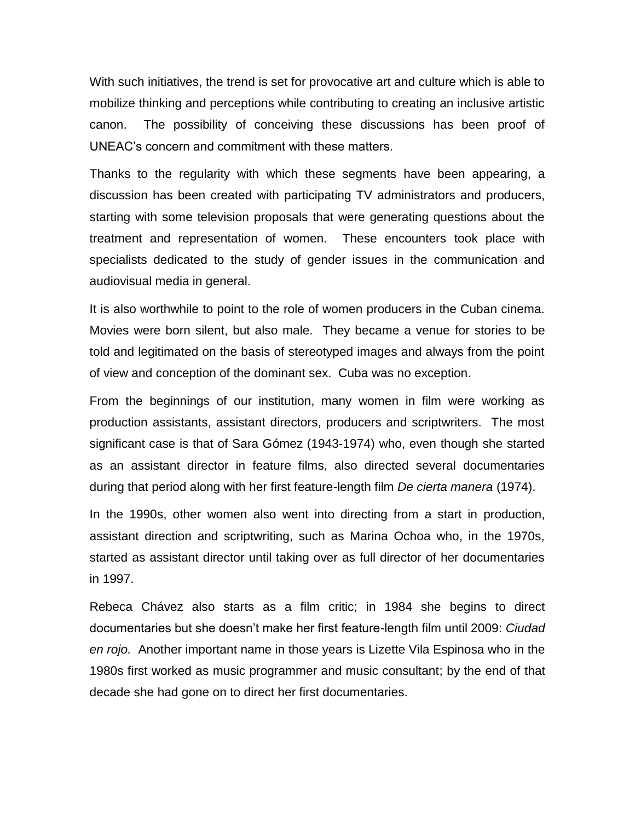With such initiatives, the trend is set for provocative art and culture which is able to mobilize thinking and perceptions while contributing to creating an inclusive artistic canon. The possibility of conceiving these discussions has been proof of UNEAC's concern and commitment with these matters.

Thanks to the regularity with which these segments have been appearing, a discussion has been created with participating TV administrators and producers, starting with some television proposals that were generating questions about the treatment and representation of women. These encounters took place with specialists dedicated to the study of gender issues in the communication and audiovisual media in general.

It is also worthwhile to point to the role of women producers in the Cuban cinema. Movies were born silent, but also male. They became a venue for stories to be told and legitimated on the basis of stereotyped images and always from the point of view and conception of the dominant sex. Cuba was no exception.

From the beginnings of our institution, many women in film were working as production assistants, assistant directors, producers and scriptwriters. The most significant case is that of Sara Gómez (1943-1974) who, even though she started as an assistant director in feature films, also directed several documentaries during that period along with her first feature-length film *De cierta manera* (1974).

In the 1990s, other women also went into directing from a start in production, assistant direction and scriptwriting, such as Marina Ochoa who, in the 1970s, started as assistant director until taking over as full director of her documentaries in 1997.

Rebeca Chávez also starts as a film critic; in 1984 she begins to direct documentaries but she doesn't make her first feature-length film until 2009: *Ciudad en rojo.* Another important name in those years is Lizette Vila Espinosa who in the 1980s first worked as music programmer and music consultant; by the end of that decade she had gone on to direct her first documentaries.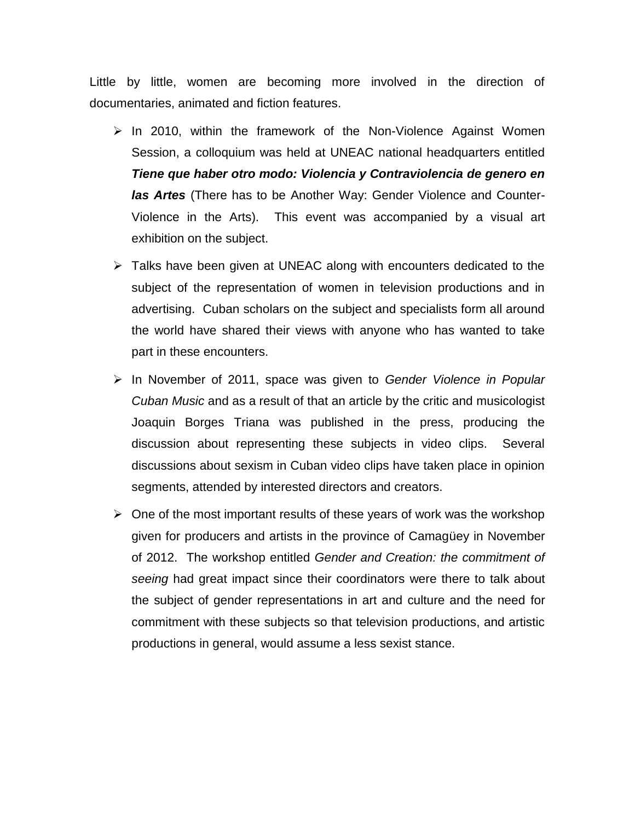Little by little, women are becoming more involved in the direction of documentaries, animated and fiction features.

- $\triangleright$  In 2010, within the framework of the Non-Violence Against Women Session, a colloquium was held at UNEAC national headquarters entitled *Tiene que haber otro modo: Violencia y Contraviolencia de genero en las Artes* (There has to be Another Way: Gender Violence and Counter-Violence in the Arts). This event was accompanied by a visual art exhibition on the subject.
- $\triangleright$  Talks have been given at UNEAC along with encounters dedicated to the subject of the representation of women in television productions and in advertising. Cuban scholars on the subject and specialists form all around the world have shared their views with anyone who has wanted to take part in these encounters.
- In November of 2011, space was given to *Gender Violence in Popular Cuban Music* and as a result of that an article by the critic and musicologist Joaquin Borges Triana was published in the press, producing the discussion about representing these subjects in video clips. Several discussions about sexism in Cuban video clips have taken place in opinion segments, attended by interested directors and creators.
- $\triangleright$  One of the most important results of these years of work was the workshop given for producers and artists in the province of Camagüey in November of 2012. The workshop entitled *Gender and Creation: the commitment of seeing* had great impact since their coordinators were there to talk about the subject of gender representations in art and culture and the need for commitment with these subjects so that television productions, and artistic productions in general, would assume a less sexist stance.